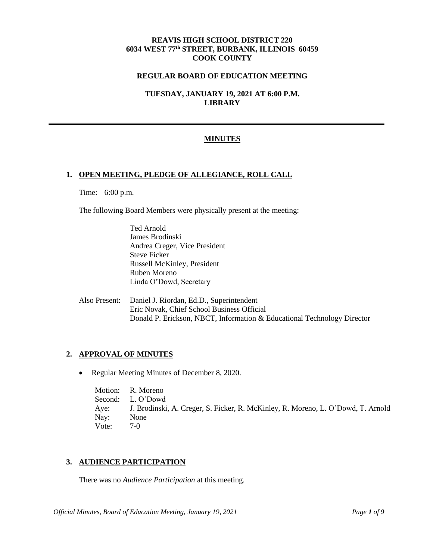## **REAVIS HIGH SCHOOL DISTRICT 220 6034 WEST 77th STREET, BURBANK, ILLINOIS 60459 COOK COUNTY**

### **REGULAR BOARD OF EDUCATION MEETING**

**TUESDAY, JANUARY 19, 2021 AT 6:00 P.M. LIBRARY**

## **MINUTES**

#### **1. OPEN MEETING, PLEDGE OF ALLEGIANCE, ROLL CALL**

Time: 6:00 p.m.

The following Board Members were physically present at the meeting:

Ted Arnold James Brodinski Andrea Creger, Vice President Steve Ficker Russell McKinley, President Ruben Moreno Linda O'Dowd, Secretary

Also Present: Daniel J. Riordan, Ed.D., Superintendent Eric Novak, Chief School Business Official Donald P. Erickson, NBCT, Information & Educational Technology Director

### **2. APPROVAL OF MINUTES**

• Regular Meeting Minutes of December 8, 2020.

Motion: R. Moreno Second: L. O'Dowd Aye: J. Brodinski, A. Creger, S. Ficker, R. McKinley, R. Moreno, L. O'Dowd, T. Arnold Nay: None Vote: 7-0

### **3. AUDIENCE PARTICIPATION**

There was no *Audience Participation* at this meeting.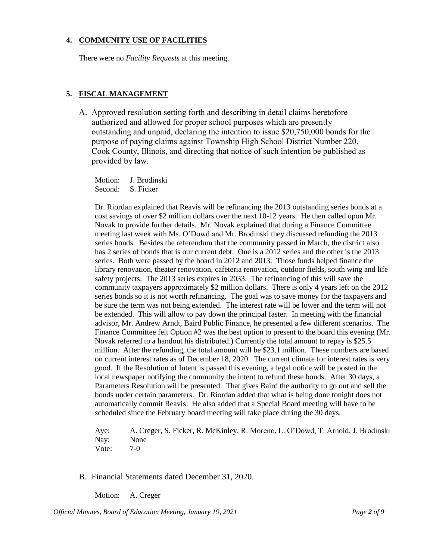## **4. COMMUNITY USE OF FACILITIES**

There were no *Facility Requests* at this meeting.

## **5. FISCAL MANAGEMENT**

A. Approved resolution setting forth and describing in detail claims heretofore authorized and allowed for proper school purposes which are presently outstanding and unpaid, declaring the intention to issue \$20,750,000 bonds for the purpose of paying claims against Township High School District Number 220, Cook County, Illinois, and directing that notice of such intention be published as provided by law.

Motion: J. Brodinski Second: S. Ficker

Dr. Riordan explained that Reavis will be refinancing the 2013 outstanding series bonds at a cost savings of over \$2 million dollars over the next 10-12 years. He then called upon Mr. Novak to provide further details. Mr. Novak explained that during a Finance Committee meeting last week with Ms. O'Dowd and Mr. Brodinski they discussed refunding the 2013 series bonds. Besides the referendum that the community passed in March, the district also has 2 series of bonds that is our current debt. One is a 2012 series and the other is the 2013 series. Both were passed by the board in 2012 and 2013. Those funds helped finance the library renovation, theater renovation, cafeteria renovation, outdoor fields, south wing and life safety projects. The 2013 series expires in 2033. The refinancing of this will save the community taxpayers approximately \$2 million dollars. There is only 4 years left on the 2012 series bonds so it is not worth refinancing. The goal was to save money for the taxpayers and be sure the term was not being extended. The interest rate will be lower and the term will not be extended. This will allow to pay down the principal faster. In meeting with the financial advisor, Mr. Andrew Arndt, Baird Public Finance, he presented a few different scenarios. The Finance Committee felt Option #2 was the best option to present to the board this evening (Mr. Novak referred to a handout his distributed.) Currently the total amount to repay is \$25.5 million. After the refunding, the total amount will be \$23.1 million. These numbers are based on current interest rates as of December 18, 2020. The current climate for interest rates is very good. If the Resolution of Intent is passed this evening, a legal notice will be posted in the local newspaper notifying the community the intent to refund these bonds. After 30 days, a Parameters Resolution will be presented. That gives Baird the authority to go out and sell the bonds under certain parameters. Dr. Riordan added that what is being done tonight does not automatically commit Reavis. He also added that a Special Board meeting will have to be scheduled since the February board meeting will take place during the 30 days.

Aye: A. Creger, S. Ficker, R. McKinley, R. Moreno, L. O'Dowd, T. Arnold, J. Brodinski Nay: None Vote: 7-0

B. Financial Statements dated December 31, 2020.

Motion: A. Creger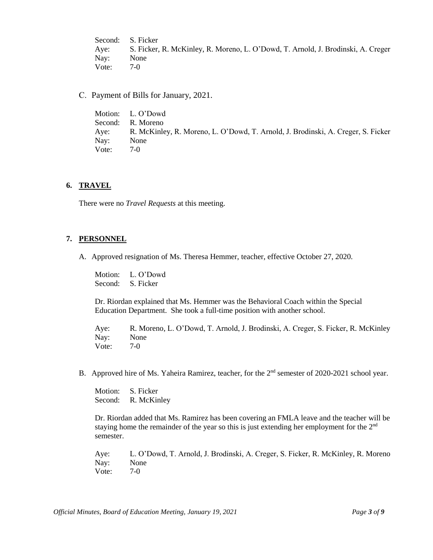Second: S. Ficker Aye: S. Ficker, R. McKinley, R. Moreno, L. O'Dowd, T. Arnold, J. Brodinski, A. Creger Nay: None Vote: 7-0

C. Payment of Bills for January, 2021.

|       | Motion: L. O'Dowd                                                                |
|-------|----------------------------------------------------------------------------------|
|       | Second: R. Moreno                                                                |
| Aye:  | R. McKinley, R. Moreno, L. O'Dowd, T. Arnold, J. Brodinski, A. Creger, S. Ficker |
| Nay:  | None                                                                             |
| Vote: | $7-0$                                                                            |

#### **6. TRAVEL**

There were no *Travel Requests* at this meeting.

#### **7. PERSONNEL**

A. Approved resignation of Ms. Theresa Hemmer, teacher, effective October 27, 2020.

Motion: L. O'Dowd Second: S. Ficker

Dr. Riordan explained that Ms. Hemmer was the Behavioral Coach within the Special Education Department. She took a full-time position with another school.

Aye: R. Moreno, L. O'Dowd, T. Arnold, J. Brodinski, A. Creger, S. Ficker, R. McKinley Nay: None Vote: 7-0

B. Approved hire of Ms. Yaheira Ramirez, teacher, for the 2<sup>nd</sup> semester of 2020-2021 school year.

Motion: S. Ficker Second: R. McKinley

Dr. Riordan added that Ms. Ramirez has been covering an FMLA leave and the teacher will be staying home the remainder of the year so this is just extending her employment for the 2<sup>nd</sup> semester.

Aye: L. O'Dowd, T. Arnold, J. Brodinski, A. Creger, S. Ficker, R. McKinley, R. Moreno Nay: None Vote: 7-0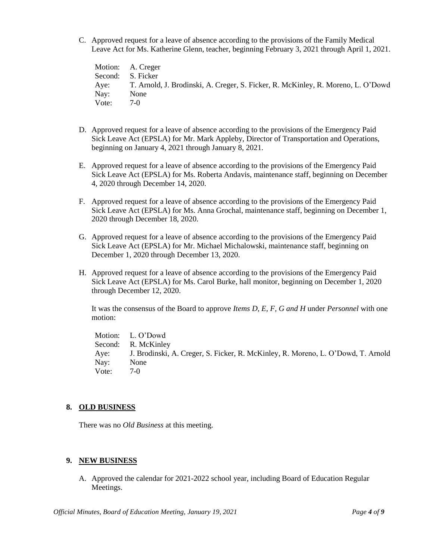C. Approved request for a leave of absence according to the provisions of the Family Medical Leave Act for Ms. Katherine Glenn, teacher, beginning February 3, 2021 through April 1, 2021.

Motion: A. Creger Second: S. Ficker Aye: T. Arnold, J. Brodinski, A. Creger, S. Ficker, R. McKinley, R. Moreno, L. O'Dowd Nay: None Vote: 7-0

- D. Approved request for a leave of absence according to the provisions of the Emergency Paid Sick Leave Act (EPSLA) for Mr. Mark Appleby, Director of Transportation and Operations, beginning on January 4, 2021 through January 8, 2021.
- E. Approved request for a leave of absence according to the provisions of the Emergency Paid Sick Leave Act (EPSLA) for Ms. Roberta Andavis, maintenance staff, beginning on December 4, 2020 through December 14, 2020.
- F. Approved request for a leave of absence according to the provisions of the Emergency Paid Sick Leave Act (EPSLA) for Ms. Anna Grochal, maintenance staff, beginning on December 1, 2020 through December 18, 2020.
- G. Approved request for a leave of absence according to the provisions of the Emergency Paid Sick Leave Act (EPSLA) for Mr. Michael Michalowski, maintenance staff, beginning on December 1, 2020 through December 13, 2020.
- H. Approved request for a leave of absence according to the provisions of the Emergency Paid Sick Leave Act (EPSLA) for Ms. Carol Burke, hall monitor, beginning on December 1, 2020 through December 12, 2020.

It was the consensus of the Board to approve *Items D, E, F, G and H* under *Personnel* with one motion:

Motion: L. O'Dowd Second: R. McKinley Aye: J. Brodinski, A. Creger, S. Ficker, R. McKinley, R. Moreno, L. O'Dowd, T. Arnold Nay: None Vote: 7-0

# **8. OLD BUSINESS**

There was no *Old Business* at this meeting.

# **9. NEW BUSINESS**

A. Approved the calendar for 2021-2022 school year, including Board of Education Regular Meetings.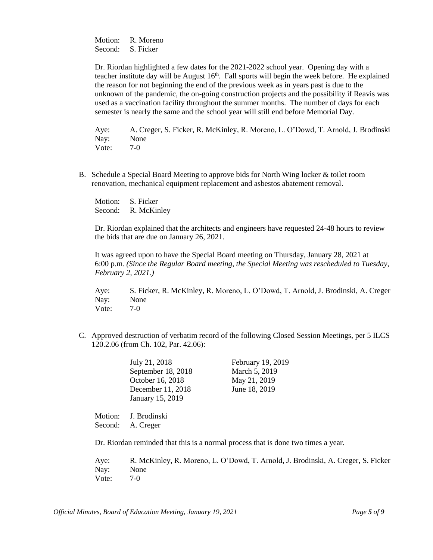Motion: R. Moreno Second: S. Ficker

Dr. Riordan highlighted a few dates for the 2021-2022 school year. Opening day with a teacher institute day will be August  $16<sup>th</sup>$ . Fall sports will begin the week before. He explained the reason for not beginning the end of the previous week as in years past is due to the unknown of the pandemic, the on-going construction projects and the possibility if Reavis was used as a vaccination facility throughout the summer months. The number of days for each semester is nearly the same and the school year will still end before Memorial Day.

Aye: A. Creger, S. Ficker, R. McKinley, R. Moreno, L. O'Dowd, T. Arnold, J. Brodinski Nay: None Vote: 7-0

B. Schedule a Special Board Meeting to approve bids for North Wing locker & toilet room renovation, mechanical equipment replacement and asbestos abatement removal.

Motion: S. Ficker Second: R. McKinley

Dr. Riordan explained that the architects and engineers have requested 24-48 hours to review the bids that are due on January 26, 2021.

It was agreed upon to have the Special Board meeting on Thursday, January 28, 2021 at 6:00 p.m*. (Since the Regular Board meeting, the Special Meeting was rescheduled to Tuesday, February 2, 2021.)*

Aye: S. Ficker, R. McKinley, R. Moreno, L. O'Dowd, T. Arnold, J. Brodinski, A. Creger Nay: None Vote: 7-0

C. Approved destruction of verbatim record of the following Closed Session Meetings, per 5 ILCS 120.2.06 (from Ch. 102, Par. 42.06):

| July 21, 2018      | February 19, 2019 |
|--------------------|-------------------|
| September 18, 2018 | March 5, 2019     |
| October 16, 2018   | May 21, 2019      |
| December 11, 2018  | June 18, 2019     |
| January 15, 2019   |                   |

Motion: J. Brodinski Second: A. Creger

Dr. Riordan reminded that this is a normal process that is done two times a year.

Aye: R. McKinley, R. Moreno, L. O'Dowd, T. Arnold, J. Brodinski, A. Creger, S. Ficker Nay: None Vote: 7-0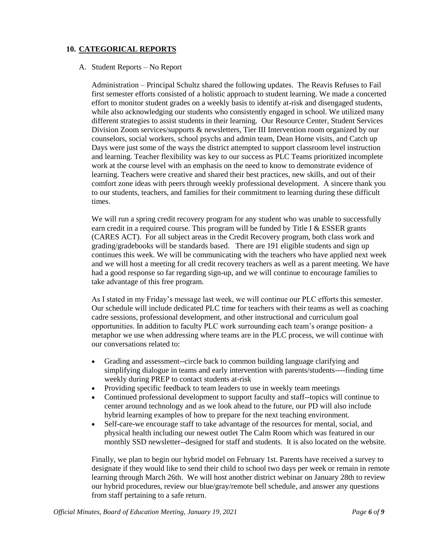# **10. CATEGORICAL REPORTS**

#### A. Student Reports – No Report

Administration – Principal Schultz shared the following updates. The Reavis Refuses to Fail first semester efforts consisted of a holistic approach to student learning. We made a concerted effort to monitor student grades on a weekly basis to identify at-risk and disengaged students, while also acknowledging our students who consistently engaged in school. We utilized many different strategies to assist students in their learning. Our Resource Center, Student Services Division Zoom services/supports & newsletters, Tier III Intervention room organized by our counselors, social workers, school psychs and admin team, Dean Home visits, and Catch up Days were just some of the ways the district attempted to support classroom level instruction and learning. Teacher flexibility was key to our success as PLC Teams prioritized incomplete work at the course level with an emphasis on the need to know to demonstrate evidence of learning. Teachers were creative and shared their best practices, new skills, and out of their comfort zone ideas with peers through weekly professional development. A sincere thank you to our students, teachers, and families for their commitment to learning during these difficult times.

We will run a spring credit recovery program for any student who was unable to successfully earn credit in a required course. This program will be funded by Title I & ESSER grants (CARES ACT). For all subject areas in the Credit Recovery program, both class work and grading/gradebooks will be standards based. There are 191 eligible students and sign up continues this week. We will be communicating with the teachers who have applied next week and we will host a meeting for all credit recovery teachers as well as a parent meeting. We have had a good response so far regarding sign-up, and we will continue to encourage families to take advantage of this free program.

As I stated in my Friday's message last week, we will continue our PLC efforts this semester. Our schedule will include dedicated PLC time for teachers with their teams as well as coaching cadre sessions, professional development, and other instructional and curriculum goal opportunities. In addition to faculty PLC work surrounding each team's orange position- a metaphor we use when addressing where teams are in the PLC process, we will continue with our conversations related to:

- Grading and assessment--circle back to common building language clarifying and simplifying dialogue in teams and early intervention with parents/students----finding time weekly during PREP to contact students at-risk
- Providing specific feedback to team leaders to use in weekly team meetings
- Continued professional development to support faculty and staff--topics will continue to center around technology and as we look ahead to the future, our PD will also include hybrid learning examples of how to prepare for the next teaching environment.
- Self-care-we encourage staff to take advantage of the resources for mental, social, and physical health including our newest outlet The Calm Room which was featured in our monthly SSD newsletter--designed for staff and students. It is also located on the website.

Finally, we plan to begin our hybrid model on February 1st. Parents have received a survey to designate if they would like to send their child to school two days per week or remain in remote learning through March 26th. We will host another district webinar on January 28th to review our hybrid procedures, review our blue/gray/remote bell schedule, and answer any questions from staff pertaining to a safe return.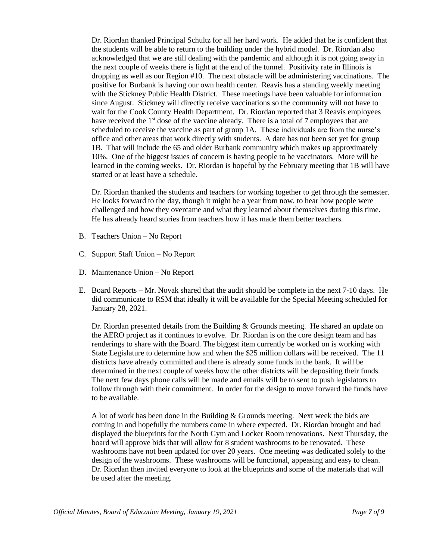Dr. Riordan thanked Principal Schultz for all her hard work. He added that he is confident that the students will be able to return to the building under the hybrid model. Dr. Riordan also acknowledged that we are still dealing with the pandemic and although it is not going away in the next couple of weeks there is light at the end of the tunnel. Positivity rate in Illinois is dropping as well as our Region #10. The next obstacle will be administering vaccinations. The positive for Burbank is having our own health center. Reavis has a standing weekly meeting with the Stickney Public Health District. These meetings have been valuable for information since August. Stickney will directly receive vaccinations so the community will not have to wait for the Cook County Health Department. Dr. Riordan reported that 3 Reavis employees have received the 1<sup>st</sup> dose of the vaccine already. There is a total of 7 employees that are scheduled to receive the vaccine as part of group 1A. These individuals are from the nurse's office and other areas that work directly with students. A date has not been set yet for group 1B. That will include the 65 and older Burbank community which makes up approximately 10%. One of the biggest issues of concern is having people to be vaccinators. More will be learned in the coming weeks. Dr. Riordan is hopeful by the February meeting that 1B will have started or at least have a schedule.

Dr. Riordan thanked the students and teachers for working together to get through the semester. He looks forward to the day, though it might be a year from now, to hear how people were challenged and how they overcame and what they learned about themselves during this time. He has already heard stories from teachers how it has made them better teachers.

- B. Teachers Union No Report
- C. Support Staff Union No Report
- D. Maintenance Union No Report
- E. Board Reports Mr. Novak shared that the audit should be complete in the next 7-10 days. He did communicate to RSM that ideally it will be available for the Special Meeting scheduled for January 28, 2021.

Dr. Riordan presented details from the Building & Grounds meeting. He shared an update on the AERO project as it continues to evolve. Dr. Riordan is on the core design team and has renderings to share with the Board. The biggest item currently be worked on is working with State Legislature to determine how and when the \$25 million dollars will be received. The 11 districts have already committed and there is already some funds in the bank. It will be determined in the next couple of weeks how the other districts will be depositing their funds. The next few days phone calls will be made and emails will be to sent to push legislators to follow through with their commitment. In order for the design to move forward the funds have to be available.

A lot of work has been done in the Building & Grounds meeting. Next week the bids are coming in and hopefully the numbers come in where expected. Dr. Riordan brought and had displayed the blueprints for the North Gym and Locker Room renovations. Next Thursday, the board will approve bids that will allow for 8 student washrooms to be renovated. These washrooms have not been updated for over 20 years. One meeting was dedicated solely to the design of the washrooms. These washrooms will be functional, appeasing and easy to clean. Dr. Riordan then invited everyone to look at the blueprints and some of the materials that will be used after the meeting.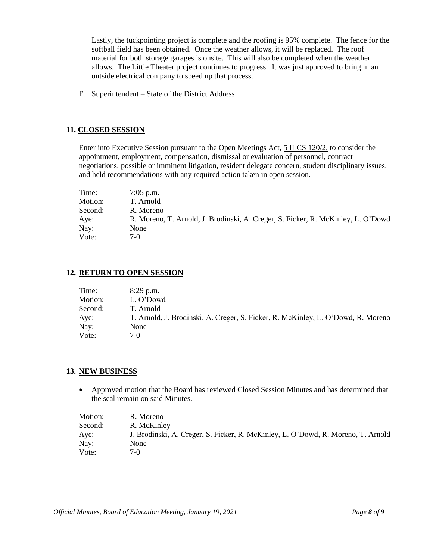Lastly, the tuckpointing project is complete and the roofing is 95% complete. The fence for the softball field has been obtained. Once the weather allows, it will be replaced. The roof material for both storage garages is onsite. This will also be completed when the weather allows. The Little Theater project continues to progress. It was just approved to bring in an outside electrical company to speed up that process.

F. Superintendent – State of the District Address

### **11. CLOSED SESSION**

Enter into Executive Session pursuant to the Open Meetings Act, 5 ILCS 120/2, to consider the appointment, employment, compensation, dismissal or evaluation of personnel, contract negotiations, possible or imminent litigation, resident delegate concern, student disciplinary issues, and held recommendations with any required action taken in open session.

| Time:   | $7:05$ p.m.                                                                      |
|---------|----------------------------------------------------------------------------------|
| Motion: | T. Arnold                                                                        |
| Second: | R. Moreno                                                                        |
| Aye:    | R. Moreno, T. Arnold, J. Brodinski, A. Creger, S. Ficker, R. McKinley, L. O'Dowd |
| Nay:    | None                                                                             |
| Vote:   | 7-0                                                                              |

#### **12. RETURN TO OPEN SESSION**

| Time:   | $8:29$ p.m.                                                                      |
|---------|----------------------------------------------------------------------------------|
| Motion: | L. O'Dowd                                                                        |
| Second: | T. Arnold                                                                        |
| Aye:    | T. Arnold, J. Brodinski, A. Creger, S. Ficker, R. McKinley, L. O'Dowd, R. Moreno |
| Nay:    | None                                                                             |
| Vote:   | $7-0$                                                                            |

#### **13. NEW BUSINESS**

• Approved motion that the Board has reviewed Closed Session Minutes and has determined that the seal remain on said Minutes.

| Motion: | R. Moreno                                                                        |
|---------|----------------------------------------------------------------------------------|
| Second: | R. McKinley                                                                      |
| Aye:    | J. Brodinski, A. Creger, S. Ficker, R. McKinley, L. O'Dowd, R. Moreno, T. Arnold |
| Nay:    | None                                                                             |
| Vote:   | 7-0                                                                              |